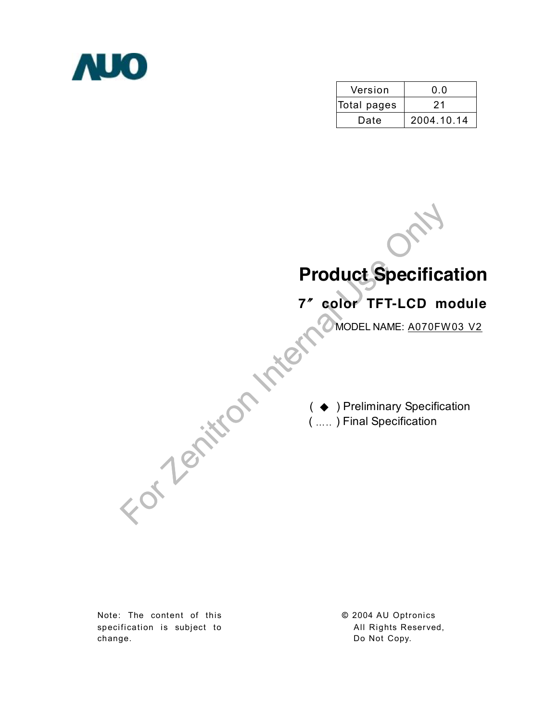

| Version     | 0.0        |
|-------------|------------|
| Total pages | 21         |
| Date        | 2004.10.14 |

For Zenitron Internal Use Only **Product Specification 7**〞**color TFT-LCD module** ( ◆ ) Preliminary Specification ( ….. ) Final Specification MODEL NAME: A070FW03 V2

Note: The content of this specification is subject to change.

**©** 2004 AU Optronics All Rights Reserved, Do Not Copy.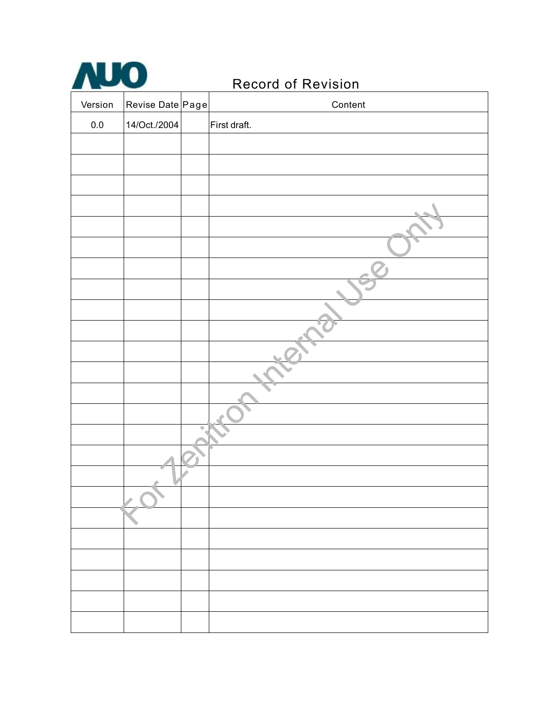

# Record of Revision

| Version | Revise Date Page | Content      |
|---------|------------------|--------------|
| $0.0\,$ | 14/Oct./2004     | First draft. |
|         |                  |              |
|         |                  |              |
|         |                  |              |
|         |                  |              |
|         |                  |              |
|         |                  |              |
|         |                  |              |
|         |                  |              |
|         |                  |              |
|         |                  |              |
|         |                  |              |
|         |                  |              |
|         |                  |              |
|         |                  |              |
|         |                  |              |
|         |                  |              |
|         |                  |              |
|         |                  |              |
|         |                  |              |
|         |                  |              |
|         |                  |              |
|         |                  |              |
|         |                  |              |
|         |                  |              |
|         |                  |              |
|         |                  |              |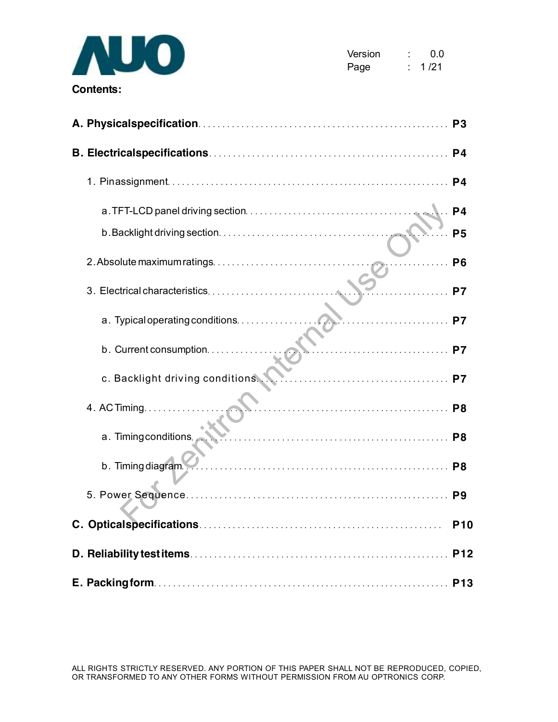

| Version | 0.0   |
|---------|-------|
| Page    | 1 /21 |

|                         |    | P <sub>5</sub> |
|-------------------------|----|----------------|
|                         | .  | <b>P6</b>      |
|                         | P7 |                |
|                         |    |                |
| b. Current consumption. |    |                |
|                         |    |                |
| 4. AC Timing.           |    |                |
| a. Timing conditions.   |    |                |
| b. Timing diagram       |    |                |
|                         |    |                |
|                         |    | <b>P10</b>     |
|                         |    | <b>P12</b>     |
|                         |    | <b>P13</b>     |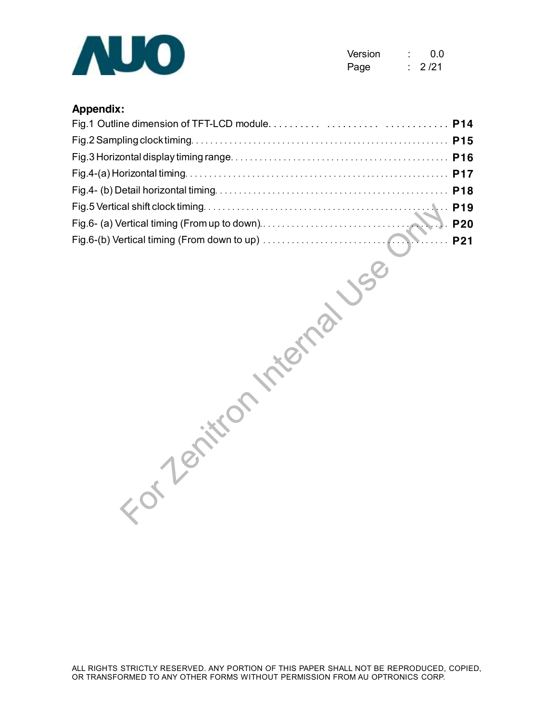

| Version | 0.0    |
|---------|--------|
| Page    | 2 / 21 |

## **Appendix:**

| J-Tenitt |  |
|----------|--|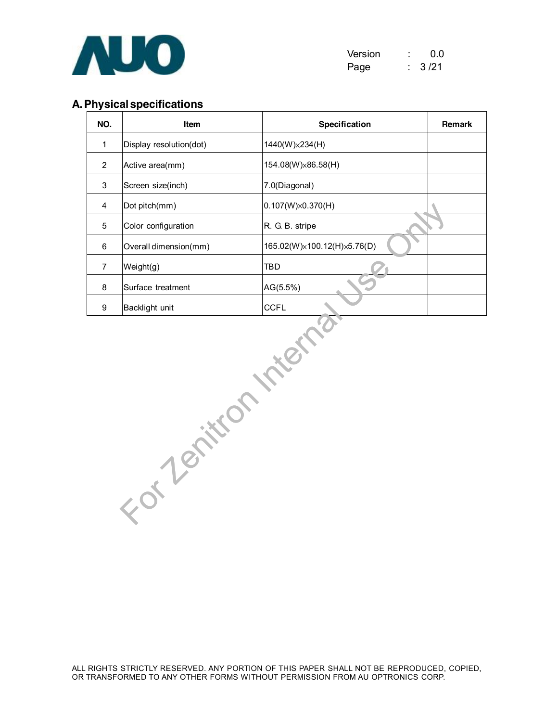

| Version | 0.0  |
|---------|------|
| Page    | 3/21 |

## **A.Physical specifications**

| NO.                     | Item                    | Specification               | Remark |
|-------------------------|-------------------------|-----------------------------|--------|
| $\mathbf{1}$            | Display resolution(dot) | 1440(W)×234(H)              |        |
| $\overline{2}$          | Active area(mm)         | 154.08(W)×86.58(H)          |        |
| 3                       | Screen size(inch)       | 7.0(Diagonal)               |        |
| $\overline{\mathbf{4}}$ | Dot pitch(mm)           | $0.107(W)\times 0.370(H)$   |        |
| 5                       | Color configuration     | R. G. B. stripe             |        |
| 6                       | Overall dimension(mm)   | 165.02(W)×100.12(H)×5.76(D) |        |
| $\overline{7}$          | Weight(g)               | TBD                         |        |
| 8                       | Surface treatment       | AG(5.5%)                    |        |
| 9                       | Backlight unit          | <b>CCFL</b>                 |        |
|                         | - of 7 emitton          |                             |        |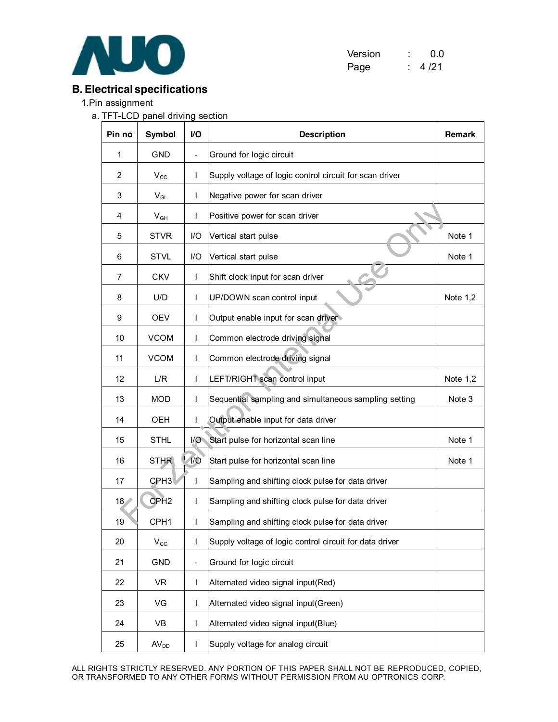

| Version | 0.0   |
|---------|-------|
| Page    | 4 /21 |

# **B.Electrical specifications**

1.Pin assignment

a. TFT-LCD panel driving section

| Pin no | Symbol                     | V <sub>O</sub>           | <b>Description</b>                                      | <b>Remark</b> |
|--------|----------------------------|--------------------------|---------------------------------------------------------|---------------|
| 1      | <b>GND</b>                 | $\overline{\phantom{0}}$ | Ground for logic circuit                                |               |
| 2      | $V_{\rm CC}$               | L                        | Supply voltage of logic control circuit for scan driver |               |
| 3      | $V_{GL}$                   | L                        | Negative power for scan driver                          |               |
| 4      | $V_{GH}$                   | T                        | Positive power for scan driver                          |               |
| 5      | <b>STVR</b>                | I/O                      | Vertical start pulse                                    | Note 1        |
| 6      | <b>STVL</b>                | I/O                      | Vertical start pulse                                    | Note 1        |
| 7      | <b>CKV</b>                 | L                        | Shift clock input for scan driver                       |               |
| 8      | U/D                        | L                        | UP/DOWN scan control input                              | Note $1,2$    |
| 9      | <b>OEV</b>                 | L                        | Output enable input for scan driver                     |               |
| 10     | <b>VCOM</b>                | L                        | Common electrode driving signal                         |               |
| 11     | <b>VCOM</b>                | L                        | Common electrode driving signal                         |               |
| 12     | L/R                        | T                        | LEFT/RIGHT scan control input                           | Note 1,2      |
| 13     | <b>MOD</b>                 | L                        | Sequential sampling and simultaneous sampling setting   | Note 3        |
| 14     | OEH                        | L                        | Output enable input for data driver                     |               |
| 15     | <b>STHL</b>                | I/O                      | Start pulse for horizontal scan line                    | Note 1        |
| 16     | <b>STHR</b>                | $1/O$                    | Start pulse for horizontal scan line                    | Note 1        |
| 17     | CPH <sub>3</sub>           | $\mathsf{I}$             | Sampling and shifting clock pulse for data driver       |               |
| 18     | CPH <sub>2</sub>           | L                        | Sampling and shifting clock pulse for data driver       |               |
| 19     | CPH <sub>1</sub>           | L                        | Sampling and shifting clock pulse for data driver       |               |
| 20     | $\mathsf{V}_{\texttt{CC}}$ | $\mathsf I$              | Supply voltage of logic control circuit for data driver |               |
| 21     | <b>GND</b>                 | $\overline{\phantom{0}}$ | Ground for logic circuit                                |               |
| 22     | VR                         | L                        | Alternated video signal input(Red)                      |               |
| 23     | VG                         | L                        | Alternated video signal input(Green)                    |               |
| 24     | VB                         | L                        | Alternated video signal input(Blue)                     |               |
| 25     | AV <sub>DD</sub>           | L                        | Supply voltage for analog circuit                       |               |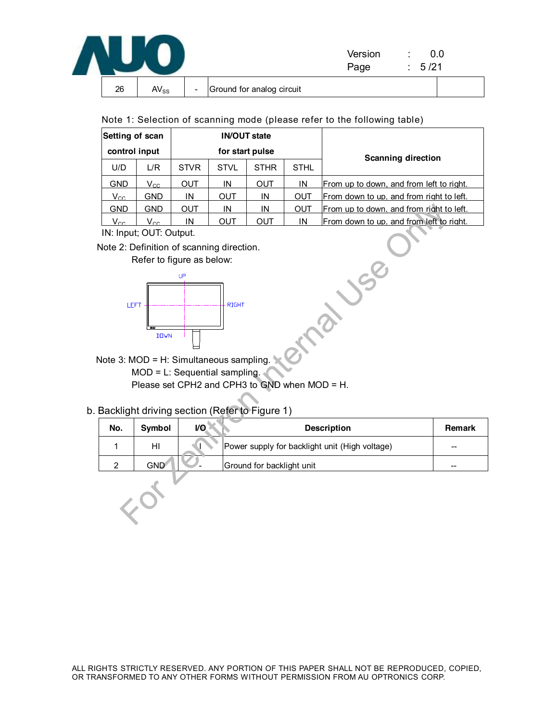|    |           |                          |                           | Version<br>Page | 5/21 |  |
|----|-----------|--------------------------|---------------------------|-----------------|------|--|
| 26 | $AV_{SS}$ | $\overline{\phantom{a}}$ | Ground for analog circuit |                 |      |  |

|  |  | Note 1: Selection of scanning mode (please refer to the following table) |  |  |  |  |  |  |  |  |
|--|--|--------------------------------------------------------------------------|--|--|--|--|--|--|--|--|
|--|--|--------------------------------------------------------------------------|--|--|--|--|--|--|--|--|

| Setting of scan |                 |             | <b>IN/OUT state</b> |                 |             |                                          |  |  |
|-----------------|-----------------|-------------|---------------------|-----------------|-------------|------------------------------------------|--|--|
| control input   |                 |             |                     | for start pulse |             | <b>Scanning direction</b>                |  |  |
| U/D             | L/R             | <b>STVR</b> | <b>STVL</b>         | <b>STHR</b>     | <b>STHL</b> |                                          |  |  |
| <b>GND</b>      | $V_{\text{CC}}$ | OUT         | IN                  | OUT             | IN          | From up to down, and from left to right. |  |  |
| $V_{CC}$        | <b>GND</b>      | IN          | OUT                 | IN              | OUT         | From down to up, and from right to left. |  |  |
| <b>GND</b>      | <b>GND</b>      | OUT         | IN                  | IN              | OUT         | From up to down, and from right to left. |  |  |
| Vcc             | Vcc             | IN          | OUT                 | OUT             | IN          | From down to up, and from left to right. |  |  |





# b. Backlight driving section (Refer to Figure 1)

| <b>GND</b>                                    | <b>GND</b>                                                                                          | <b>OUT</b>                                    | IN           | IN                        | OUT | From up to down, and from right to left.       |               |  |  |  |
|-----------------------------------------------|-----------------------------------------------------------------------------------------------------|-----------------------------------------------|--------------|---------------------------|-----|------------------------------------------------|---------------|--|--|--|
| $V_{\text{CC}}$                               | <b>OUT</b><br>From down to up, and from left to right.<br>IN<br><b>OUT</b><br>IN<br>$V_{\text{CC}}$ |                                               |              |                           |     |                                                |               |  |  |  |
|                                               | IN: Input; OUT: Output.                                                                             |                                               |              |                           |     |                                                |               |  |  |  |
|                                               |                                                                                                     | Note 2: Definition of scanning direction.     |              |                           |     |                                                |               |  |  |  |
| Refer to figure as below:                     |                                                                                                     |                                               |              |                           |     |                                                |               |  |  |  |
| UP                                            |                                                                                                     |                                               |              |                           |     |                                                |               |  |  |  |
|                                               |                                                                                                     |                                               |              |                           |     |                                                |               |  |  |  |
| LEFT                                          |                                                                                                     |                                               | <b>RIGHT</b> |                           |     |                                                |               |  |  |  |
|                                               |                                                                                                     |                                               |              |                           |     |                                                |               |  |  |  |
|                                               | <b>DOWN</b>                                                                                         |                                               |              |                           |     |                                                |               |  |  |  |
|                                               |                                                                                                     |                                               |              |                           |     |                                                |               |  |  |  |
| Note 3: MOD = H: Simultaneous sampling.       |                                                                                                     |                                               |              |                           |     |                                                |               |  |  |  |
| $MOD = L$ : Sequential sampling.              |                                                                                                     |                                               |              |                           |     |                                                |               |  |  |  |
| Please set CPH2 and CPH3 to GND when MOD = H. |                                                                                                     |                                               |              |                           |     |                                                |               |  |  |  |
|                                               |                                                                                                     |                                               |              |                           |     |                                                |               |  |  |  |
|                                               |                                                                                                     | Backlight driving section (Refer to Figure 1) |              |                           |     |                                                |               |  |  |  |
| No.                                           | Symbol                                                                                              | V <sub>O</sub>                                |              |                           |     | <b>Description</b>                             | <b>Remark</b> |  |  |  |
| 1                                             | HI                                                                                                  |                                               |              |                           |     | Power supply for backlight unit (High voltage) |               |  |  |  |
| $\overline{2}$                                | <b>GND</b>                                                                                          |                                               |              | Ground for backlight unit |     |                                                |               |  |  |  |
|                                               |                                                                                                     |                                               |              |                           |     |                                                |               |  |  |  |
|                                               |                                                                                                     |                                               |              |                           |     |                                                |               |  |  |  |
|                                               |                                                                                                     |                                               |              |                           |     |                                                |               |  |  |  |
|                                               |                                                                                                     |                                               |              |                           |     |                                                |               |  |  |  |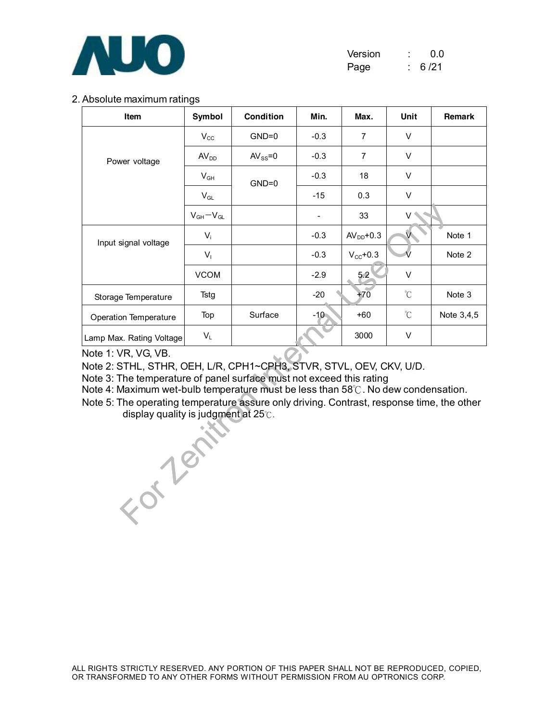

| Version | 0.0   |
|---------|-------|
| Page    | 6 /21 |

#### 2. Absolute maximum ratings

| Item                     | Symbol                     | <b>Condition</b> | Min.   | Max.                 | Unit                 | <b>Remark</b> |
|--------------------------|----------------------------|------------------|--------|----------------------|----------------------|---------------|
|                          | $V_{\rm CC}$               | $GND=0$          | $-0.3$ | 7                    | V                    |               |
| Power voltage            | AV <sub>DD</sub>           | $AV_{SS} = 0$    | $-0.3$ | $\overline{7}$       | $\vee$               |               |
|                          | $\mathsf{V}_{\mathsf{GH}}$ | $GND=0$          | $-0.3$ | 18                   | $\vee$               |               |
|                          | $V_{GL}$                   |                  | $-15$  | 0.3                  | V                    |               |
|                          | $V_{GH}-V_{GL}$            |                  |        | 33                   | V                    |               |
| Input signal voltage     | $V_i$                      |                  | $-0.3$ | $AVDD+0.3$           | V                    | Note 1        |
|                          | $V_{I}$                    |                  | $-0.3$ | $V_{\text{CC}}$ +0.3 |                      | Note 2        |
|                          | <b>VCOM</b>                |                  | $-2.9$ | 5.2                  | $\vee$               |               |
| Storage Temperature      | Tstg                       |                  | $-20$  | $+70$                | $\mathrm{C}^{\circ}$ | Note 3        |
| Operation Temperature    | Top                        | Surface          | $-10$  | $+60$                | $\mathrm{C}^{\circ}$ | Note 3,4,5    |
| Lamp Max. Rating Voltage | $V_L$                      |                  |        | 3000                 | V                    |               |

Note 1: VR, VG, VB.

Note 2: STHL, STHR, OEH, L/R, CPH1~CPH3, STVR, STVL, OEV, CKV, U/D.

Note 3: The temperature of panel surface must not exceed this rating

Note 4: Maximum wet-bulb temperature must be less than 58℃. No dew condensation.

For Text Note 5: The operating temperature assure only driving. Contrast, response time, the other display quality is judgment at 25℃.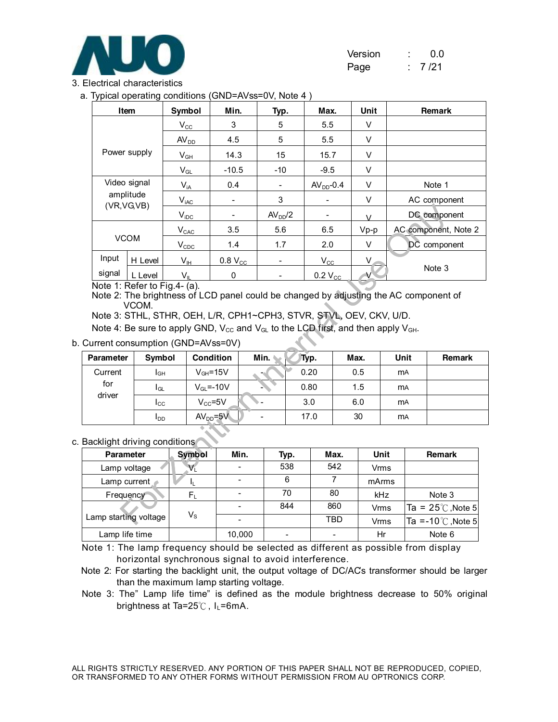

| Version | 0.0   |
|---------|-------|
| Page    | 7 /21 |

#### 3. Electrical characteristics

a. Typical operating conditions (GND=AVss=0V, Note 4 )

|                             | Item                        | Symbol<br>Min.<br>Max.<br>Typ.                  |                                                                                                                                                                        |                     | Unit |                  | Remark |             |            |                             |  |
|-----------------------------|-----------------------------|-------------------------------------------------|------------------------------------------------------------------------------------------------------------------------------------------------------------------------|---------------------|------|------------------|--------|-------------|------------|-----------------------------|--|
|                             |                             | $V_{\rm CC}$                                    | 3                                                                                                                                                                      | 5                   |      | 5.5              |        | V           |            |                             |  |
|                             |                             | AV <sub>DD</sub>                                | 4.5                                                                                                                                                                    | 5                   |      | 5.5              |        | V           |            |                             |  |
|                             | Power supply                | $\mathsf{V}_{\mathsf{GH}}$                      | 14.3                                                                                                                                                                   | 15                  |      | 15.7             |        | V           |            |                             |  |
|                             |                             | $V_{GL}$                                        | $-10.5$                                                                                                                                                                | $-10$               |      | $-9.5$           |        | V           |            |                             |  |
|                             | Video signal                | $V_{iA}$                                        | 0.4                                                                                                                                                                    |                     |      | $AVDD-0.4$       |        | V           |            | Note 1                      |  |
|                             | amplitude<br>(VR, VG, VB)   | $\mathsf{V}_{\mathsf{iAC}}$                     |                                                                                                                                                                        | 3                   |      |                  |        | $\mathsf V$ |            | AC component                |  |
|                             |                             | $V_{IDC}$                                       |                                                                                                                                                                        | AV <sub>DD</sub> /2 |      |                  |        | $\vee$      |            | DC component                |  |
|                             |                             | $V_{CAC}$                                       | 3.5                                                                                                                                                                    | 5.6                 |      | 6.5              |        | $Vp-p$      |            | AC component, Note 2        |  |
|                             | <b>VCOM</b>                 | $V_{CDC}$                                       | 1.4                                                                                                                                                                    | 1.7                 |      | 2.0              |        | V           |            | DC component                |  |
| Input                       | H Level                     | $V_{\text{IH}}$                                 | $0.8 V_{CC}$                                                                                                                                                           |                     |      | $V_{\rm CC}$     |        | V.          |            |                             |  |
| signal                      | L Level                     | $V_{\parallel}$<br>Note 1: Refer to Fig.4- (a). | 0                                                                                                                                                                      |                     |      | $0.2 V_{\rm CC}$ |        | V           |            | Note 3                      |  |
|                             |                             | urrent consumption (GND=AVss=0V)                | Note 3: STHL, STHR, OEH, L/R, CPH1~CPH3, STVR, STVL, OEV, CKV, U/D.<br>Note 4: Be sure to apply GND, $V_{CC}$ and $V_{GL}$ to the LCD first, and then apply $V_{GH}$ . |                     |      |                  |        |             |            |                             |  |
| Parameter                   | Symbol                      |                                                 | <b>Condition</b>                                                                                                                                                       | Min.                | Typ. |                  | Max.   |             | Unit       | Remark                      |  |
| Current                     | I <sub>GH</sub>             |                                                 | $V_{GH} = 15V$                                                                                                                                                         |                     | 0.20 |                  |        | 0.5         | <b>m</b> A |                             |  |
| for                         | $I_{GL}$                    |                                                 | $V_{GL} = -10V$                                                                                                                                                        |                     | 0.80 |                  |        | 1.5         | <b>MA</b>  |                             |  |
| driver                      | $_{\rm lcc}$                |                                                 | $V_{CC} = 5V$                                                                                                                                                          | $\overline{a}$      | 3.0  |                  |        | 6.0         | <b>mA</b>  |                             |  |
|                             | $I_{DD}$                    |                                                 | $AVDD=5V$                                                                                                                                                              |                     | 17.0 |                  |        | 30          | <b>MA</b>  |                             |  |
| acklight driving conditions |                             |                                                 |                                                                                                                                                                        |                     |      |                  |        |             |            |                             |  |
| <b>Parameter</b>            |                             | <b>Symbol</b>                                   | Min.                                                                                                                                                                   |                     | Typ. | Max.             |        | <b>Unit</b> |            | <b>Remark</b>               |  |
| Lamp voltage                |                             | Vī                                              |                                                                                                                                                                        |                     | 538  | 542              |        | Vrms        |            |                             |  |
|                             | Lamp current<br>$I_{\rm L}$ |                                                 |                                                                                                                                                                        |                     | 6    | $\overline{7}$   |        | mArms       |            |                             |  |
| Frequency                   |                             | $F_L$                                           | $\overline{\phantom{0}}$                                                                                                                                               |                     | 70   | 80               |        | kHz         |            | Note 3                      |  |
|                             |                             | $V_{\rm S}$                                     | $\qquad \qquad -$                                                                                                                                                      |                     | 844  | 860              |        | <b>Vrms</b> |            | Ta = $25^{\circ}$ C, Note 5 |  |
| amp starting voltage        |                             |                                                 |                                                                                                                                                                        |                     |      | <b>TBD</b>       |        | Vrms        |            | Ta =-10 $\degree$ C, Note 5 |  |

b. Current consumption (GND=AVss=0V)

| <b>Parameter</b> | Symbol          | <b>Condition</b> | Min. | Typ. | Max. | Unit      | Remark |
|------------------|-----------------|------------------|------|------|------|-----------|--------|
| Current          | I <sub>GH</sub> | $V_{GH} = 15V$   |      | 0.20 | 0.5  | <b>MA</b> |        |
| for              | l <sub>GL</sub> | $V_{GL} = -10V$  |      | 0.80 | 1.5  | <b>MA</b> |        |
| driver           | Icc             | $V_{CC} = 5V$    |      | 3.0  | 6.0  | <b>MA</b> |        |
|                  | l DD            | $AVDD=5V$        | -    | 17.0 | 30   | <b>MA</b> |        |

#### c. Backlight driving conditions

| <b>Parameter</b>            | <b>Symbol</b> | Min.   | Typ. | Max. | Unit  | <b>Remark</b>               |
|-----------------------------|---------------|--------|------|------|-------|-----------------------------|
| Lamp voltage                |               |        | 538  | 542  | Vrms  |                             |
| Lamp current $\blacksquare$ |               |        | 6    |      | mArms |                             |
| Frequency                   | F.            |        | 70   | 80   | kHz   | Note 3                      |
|                             |               |        | 844  | 860  | Vrms  | Ta = $25^{\circ}$ , Note 5  |
| Lamp starting voltage       | Vs            |        |      | TBD  | Vrms  | Ta =-10 $\degree$ C, Note 5 |
| Lamp life time              |               | 10,000 |      |      | Hr    | Note 6                      |

Note 1: The lamp frequency should be selected as different as possible from display horizontal synchronous signal to avoid interference.

Note 2: For starting the backlight unit, the output voltage of DC/AC's transformer should be larger than the maximum lamp starting voltage.

Note 3: The" Lamp life time" is defined as the module brightness decrease to 50% original brightness at Ta=25℃, I<sub>L</sub>=6mA.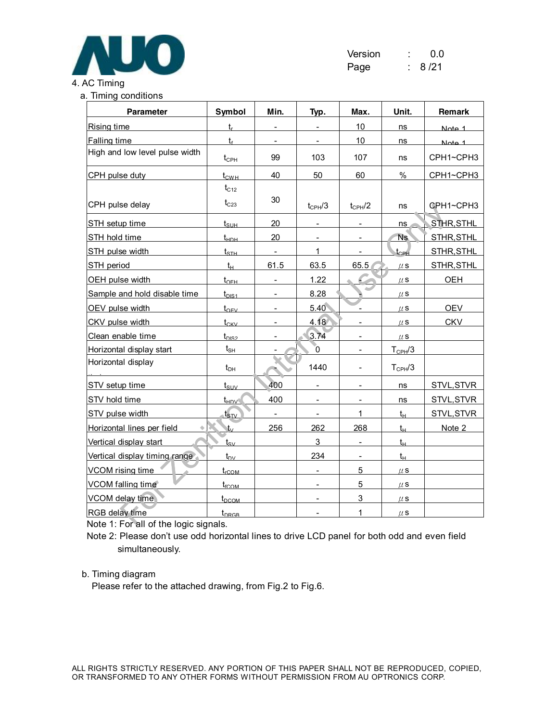

| Version | 0.0    |
|---------|--------|
| Page    | 8 / 21 |

# a. Timing conditions **Parameter Symbol Min. Typ. Max. Unit. Remark**  $R$ ising time transformation to the set of the set of the  $t$ Falling time  $t_f$   $t_f$  -  $-$  10 ns Note 1 High and low level pulse width  $t_{\text{CPH}}$  99 103 107 ns CPH1~CPH3  $CPH$  pulse duty  $t_{CWH}$  40 50 60 % CPH1~CPH3 CPH pulse delay  $t_{C12}$

| CPH pulse delay                      | $t_{C23}$                       | 30                       | $t_{\text{CPH}}/3$       | $t_{CPH}/2$              | ns                 | GPH1~CPH3  |
|--------------------------------------|---------------------------------|--------------------------|--------------------------|--------------------------|--------------------|------------|
| STH setup time                       | $t_{\rm SIJH}$                  | 20                       |                          |                          | ns                 | STHR, STHL |
| STH hold time                        | $t_{\text{HDH}}$                | 20                       |                          |                          | Ns.                | STHR, STHL |
| STH pulse width                      | $t_{\scriptscriptstyle\rm STH}$ | $\overline{\phantom{a}}$ | 1                        | $\overline{\phantom{a}}$ | $t_{CPH}$          | STHR, STHL |
| STH period                           | $t_H$                           | 61.5                     | 63.5                     | 65.5                     | $\mu$ S            | STHR, STHL |
| OEH pulse width                      | $t_{\text{OFH}}$                |                          | 1.22                     |                          | $\mu$ S            | <b>OEH</b> |
| Sample and hold disable time         | $t_{DIS1}$                      |                          | 8.28                     |                          | $\mu$ S            |            |
| OEV pulse width                      | $t_{OFV}$                       | $\overline{\phantom{a}}$ | 5.40                     | $\overline{\phantom{a}}$ | $\mu$ S            | <b>OEV</b> |
| CKV pulse width                      | $t_{CKV}$                       | $\overline{\phantom{a}}$ | 4.18                     | $\overline{\phantom{a}}$ | $\mu$ S            | <b>CKV</b> |
| Clean enable time                    | $t_{DIS2}$                      |                          | 3.74                     |                          | $\mu$ S            |            |
| Horizontal display start             | $\mathsf{t}_{\mathsf{SH}}$      |                          | Ō.                       |                          | $T_{\text{CPH}}/3$ |            |
| Horizontal display                   | $t_{\text{DH}}$                 |                          | 1440                     |                          | $T_{\text{CPH}}/3$ |            |
| STV setup time                       | $t_{\rm{SUV}}$                  | 400                      |                          |                          | ns                 | STVL, STVR |
| STV hold time                        | $t_{HDV}$                       | 400                      | $\overline{\phantom{a}}$ | $\overline{\phantom{a}}$ | ns                 | STVL, STVR |
| STV pulse width                      | $t_{\scriptscriptstyle\rm SDV}$ | $\overline{\phantom{a}}$ | $\overline{\phantom{a}}$ | 1                        | $t_{H}$            | STVL, STVR |
| Horizontal lines per field           | tv.                             | 256                      | 262                      | 268                      | $t_{H}$            | Note 2     |
| Vertical display start               | tsv                             |                          | 3                        |                          | $t_{\rm H}$        |            |
| Vertical display timing range        | $t_{\rm DV}$                    |                          | 234                      |                          | $t_H$              |            |
| VCOM rising time                     | $t_{\rm rCOM}$                  |                          | $\overline{\phantom{a}}$ | 5                        | $\mu$ S            |            |
| VCOM falling time                    | $t_{\rm fCOM}$                  |                          | $\overline{\phantom{0}}$ | 5                        | $\mu$ S            |            |
| VCOM delay time                      | $t_{DCOM}$                      |                          |                          | 3                        | $\mu$ S            |            |
| <b>RGB delay time</b>                | $t_{DRGB}$                      |                          |                          |                          | $\mu$ S            |            |
| Note 1: For all of the logic signals |                                 |                          |                          |                          |                    |            |

Note 1: For all of the logic signals.

Note 2: Please don't use odd horizontal lines to drive LCD panel for both odd and even field simultaneously.

#### b. Timing diagram

Please refer to the attached drawing, from Fig.2 to Fig.6.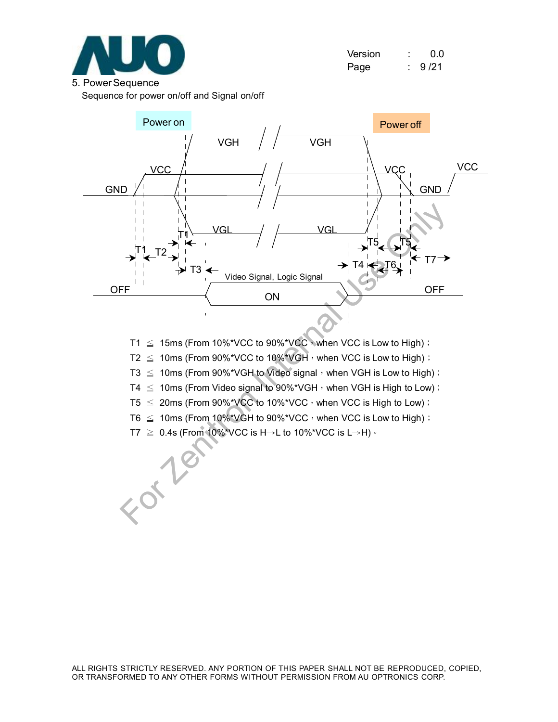

| Version | ٠ | 0.0  |
|---------|---|------|
| Page    |   | 9/21 |

Sequence for power on/off and Signal on/off



- T1  $\leq$  15ms (From 10%\*VCC to 90%\*VCC, when VCC is Low to High);
- $T2 \leq 10$ ms (From 90%\*VCC to 10%\*VGH, when VCC is Low to High);
- T3  $\leq$  10ms (From 90%\*VGH to Video signal, when VGH is Low to High);
- T4  $\leq$  10ms (From Video signal to 90%\*VGH, when VGH is High to Low);
- T5  $\leq$  20ms (From 90%\*VCC to 10%\*VCC, when VCC is High to Low);
- T6  $\leq$  10ms (From 10%\*VGH to 90%\*VCC, when VCC is Low to High);
- T7  $\geq$  0.4s (From 10%\*VCC is H→L to 10%\*VCC is L→H)  $\cdot$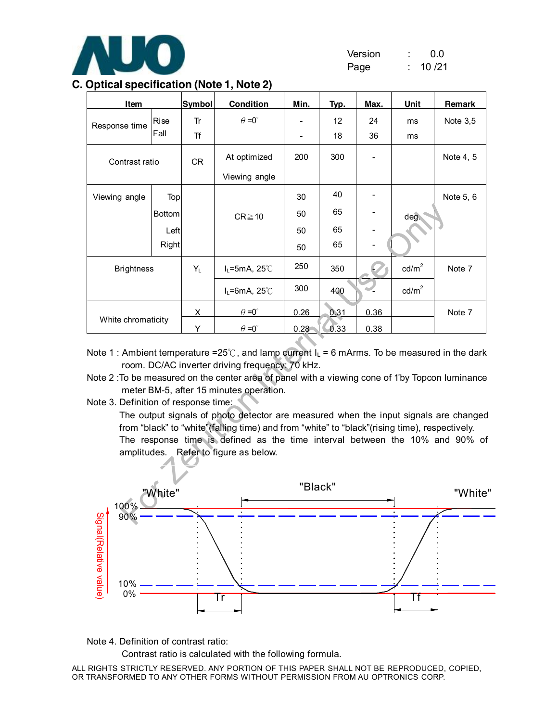

| Version | 0.0    |
|---------|--------|
| Page    | 10 /21 |

|  |  | C. Optical specification (Note 1, Note 2) |  |  |  |
|--|--|-------------------------------------------|--|--|--|
|--|--|-------------------------------------------|--|--|--|

| Item                                                                                                                                                                                                                                                                                                                                                                                                                                                                                                                                                                                                                                                         |               | <b>Symbol</b> | <b>Condition</b>     | Min.     | Tvp.    | Max. | Unit            | <b>Remark</b> |
|--------------------------------------------------------------------------------------------------------------------------------------------------------------------------------------------------------------------------------------------------------------------------------------------------------------------------------------------------------------------------------------------------------------------------------------------------------------------------------------------------------------------------------------------------------------------------------------------------------------------------------------------------------------|---------------|---------------|----------------------|----------|---------|------|-----------------|---------------|
|                                                                                                                                                                                                                                                                                                                                                                                                                                                                                                                                                                                                                                                              | Rise          | Tr            | $\theta = 0^{\circ}$ |          | 12      | 24   | ms              | Note 3,5      |
| Response time                                                                                                                                                                                                                                                                                                                                                                                                                                                                                                                                                                                                                                                | Fall          | <b>Tf</b>     |                      |          | 18      | 36   | ms              |               |
| Contrast ratio                                                                                                                                                                                                                                                                                                                                                                                                                                                                                                                                                                                                                                               |               | <b>CR</b>     | At optimized         | 200      | 300     |      |                 | Note 4, 5     |
|                                                                                                                                                                                                                                                                                                                                                                                                                                                                                                                                                                                                                                                              |               |               | Viewing angle        |          |         |      |                 |               |
| Viewing angle                                                                                                                                                                                                                                                                                                                                                                                                                                                                                                                                                                                                                                                | Top           |               |                      | 30       | 40      |      |                 | Note 5, 6     |
|                                                                                                                                                                                                                                                                                                                                                                                                                                                                                                                                                                                                                                                              | <b>Bottom</b> |               | $CR \ge 10$          | 50       | 65      |      | deg.            |               |
|                                                                                                                                                                                                                                                                                                                                                                                                                                                                                                                                                                                                                                                              | Left          |               |                      | 50       | 65      |      |                 |               |
|                                                                                                                                                                                                                                                                                                                                                                                                                                                                                                                                                                                                                                                              | Right         |               |                      | 50       | 65      |      |                 |               |
| <b>Brightness</b>                                                                                                                                                                                                                                                                                                                                                                                                                                                                                                                                                                                                                                            |               | Y∟            | $I_L$ =5mA, 25°C     | 250      | 350     |      | $\text{cd/m}^2$ | Note 7        |
|                                                                                                                                                                                                                                                                                                                                                                                                                                                                                                                                                                                                                                                              |               |               | $I_L = 6mA$ , 25°C   | 300      | 400     |      | $\text{cd/m}^2$ |               |
|                                                                                                                                                                                                                                                                                                                                                                                                                                                                                                                                                                                                                                                              |               | $\times$      | $\theta = 0$ °       | 0.26     | 0.31    | 0.36 |                 | Note 7        |
| White chromaticity                                                                                                                                                                                                                                                                                                                                                                                                                                                                                                                                                                                                                                           |               | Y             | $\theta = 0^{\circ}$ | $0.28 -$ | $-0.33$ | 0.38 |                 |               |
| Note 1: Ambient temperature =25°C, and lamp current $I_L$ = 6 mArms. To be measured in the dark<br>room. DC/AC inverter driving frequency: 70 kHz.<br>Note 2: To be measured on the center area of panel with a viewing cone of 1°by Topcon luminance<br>meter BM-5, after 15 minutes operation.<br>Note 3. Definition of response time:<br>The output signals of photo detector are measured when the input signals are changed<br>from "black" to "white" (falling time) and from "white" to "black" (rising time), respectively.<br>The response time is defined as the time interval between the 10% and 90% of<br>amplitudes. Refer to figure as below. |               |               |                      |          |         |      |                 |               |
| 100%                                                                                                                                                                                                                                                                                                                                                                                                                                                                                                                                                                                                                                                         | "White"       |               |                      | "Black"  |         |      |                 | "White        |
| 90%                                                                                                                                                                                                                                                                                                                                                                                                                                                                                                                                                                                                                                                          |               |               |                      |          |         |      |                 |               |

- Note 1 : Ambient temperature =25°C, and lamp current  $I_L$  = 6 mArms. To be measured in the dark room. DC/AC inverter driving frequency: 70 kHz.
- Note 2 : To be measured on the center area of panel with a viewing cone of 1°by Topcon luminance meter BM-5, after 15 minutes operation.
- Note 3. Definition of response time:



Note 4. Definition of contrast ratio:

Contrast ratio is calculated with the following formula.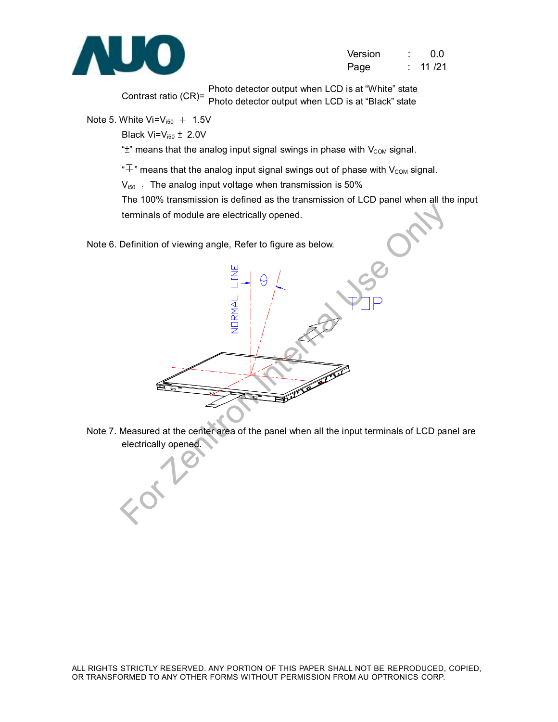

| Version | 0.0    |
|---------|--------|
| Page    | 11 /21 |

Contrast ratio (CR)= Photo detector output when LCD is at "White" state Photo detector output when LCD is at "Black" state

Note 5. White  $Vi=V_{i50} + 1.5V$ 

Black  $Vi=V_{i50} \pm 2.0V$ 

" $\pm$ " means that the analog input signal swings in phase with  $V_{COM}$  signal.

" $\overline{+}$ " means that the analog input signal swings out of phase with V<sub>COM</sub> signal.

 $V_{150}$  : The analog input voltage when transmission is 50%

The 100% transmission is defined as the transmission of LCD panel when all the input terminals of module are electrically opened.

Note 6. Definition of viewing angle, Refer to figure as below.



Note 7. Measured at the center area of the panel when all the input terminals of LCD panel are electrically opened.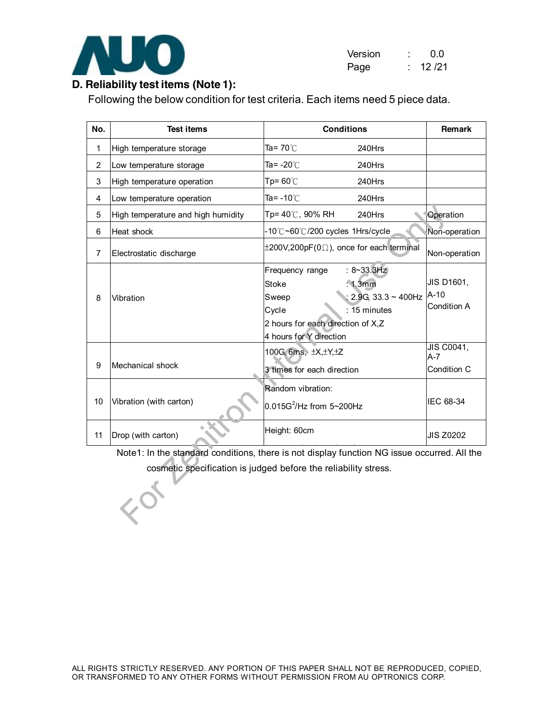

| Version | 0.0   |
|---------|-------|
| Page    | 12/21 |

# **D. Reliability test items (Note 1):**

Following the below condition for test criteria. Each items need 5 piece data.

| No.            | <b>Test items</b>                                                                                                                                              | <b>Conditions</b>                                                                                                                                                                        | Remark                               |  |  |
|----------------|----------------------------------------------------------------------------------------------------------------------------------------------------------------|------------------------------------------------------------------------------------------------------------------------------------------------------------------------------------------|--------------------------------------|--|--|
| 1              | High temperature storage                                                                                                                                       | Ta= $70^{\circ}$ C<br>240Hrs                                                                                                                                                             |                                      |  |  |
| $\overline{2}$ | Low temperature storage                                                                                                                                        | Ta= $-20^{\circ}$ C<br>240Hrs                                                                                                                                                            |                                      |  |  |
| 3              | High temperature operation                                                                                                                                     | Tp= $60^{\circ}$ C<br>240Hrs                                                                                                                                                             |                                      |  |  |
| 4              | Low temperature operation                                                                                                                                      | Ta= $-10^{\circ}$ C<br>240Hrs                                                                                                                                                            |                                      |  |  |
| 5              | High temperature and high humidity                                                                                                                             | Tp= 40℃, 90% RH<br>240Hrs                                                                                                                                                                | Operation                            |  |  |
| 6              | Heat shock                                                                                                                                                     | -10℃~60℃/200 cycles 1Hrs/cycle                                                                                                                                                           | Non-operation                        |  |  |
| 7              | Electrostatic discharge                                                                                                                                        | $\pm 200$ V,200pF(0 $\Omega$ ), once for each terminal                                                                                                                                   | Non-operation                        |  |  |
| 8              | Vibration                                                                                                                                                      | $: 8 - 33.3Hz$<br>Frequency range<br>: 1.3mm<br><b>Stoke</b><br>: 2.9G, 33.3 ~ 400Hz<br>Sweep<br>$: 15$ minutes<br>Cycle<br>2 hours for each direction of X,Z<br>4 hours for Y direction | JIS D1601,<br>$A-10$<br>Condition A  |  |  |
| 9              | Mechanical shock                                                                                                                                               | 100G, 6ms, ±X, ±Y, ±Z<br>3 times for each direction                                                                                                                                      | JIS C0041,<br>$A - 7$<br>Condition C |  |  |
| 10             | Vibration (with carton)                                                                                                                                        | Random vibration:<br>$0.015G^2$ /Hz from 5~200Hz                                                                                                                                         | IEC 68-34                            |  |  |
| 11             | Drop (with carton)                                                                                                                                             | Height: 60cm                                                                                                                                                                             | <b>JIS Z0202</b>                     |  |  |
|                | Note1: In the standard conditions, there is not display function NG issue occurred. All the<br>cosmetic specification is judged before the reliability stress. |                                                                                                                                                                                          |                                      |  |  |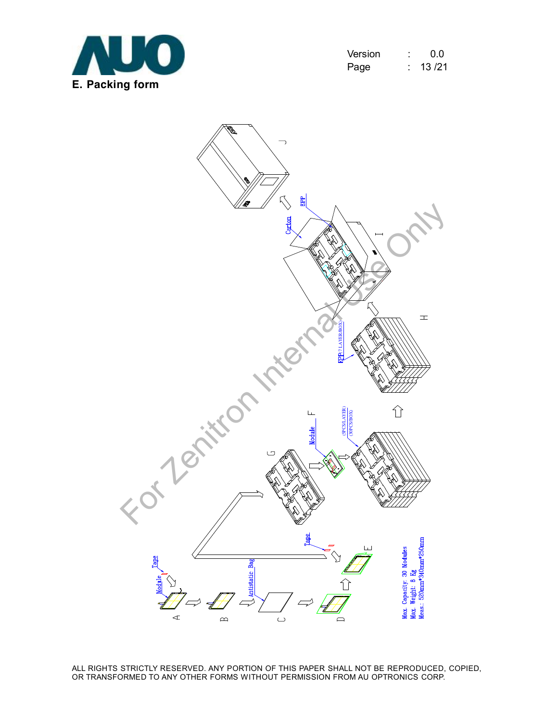

| Version | 0.0   |
|---------|-------|
| Page    | 13/21 |

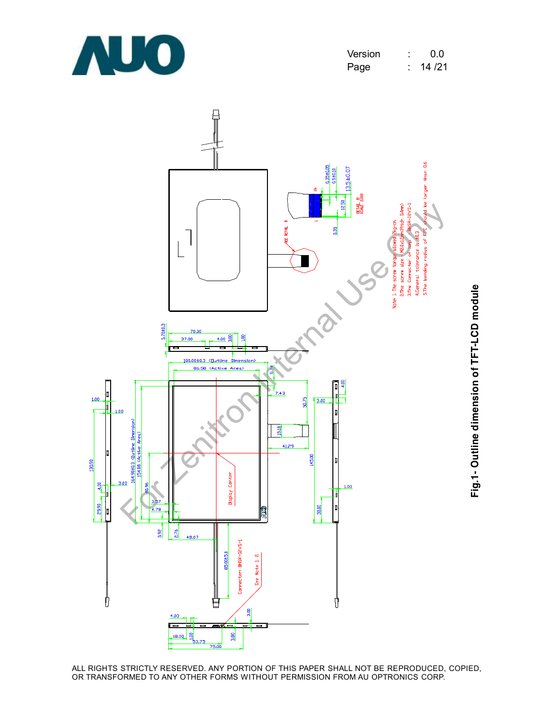





**Fig.1- O utlin e dim e n sio n of T F T-L C D m o d**

**ule**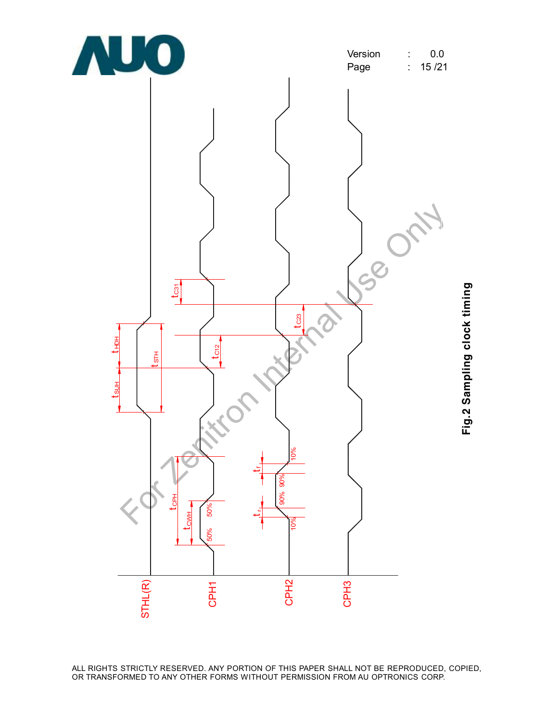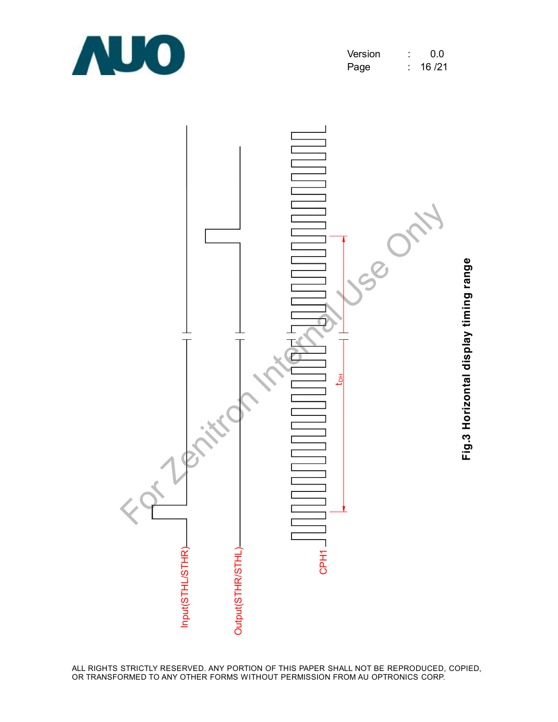

| Version | 0.0   |
|---------|-------|
| Page    | 16/21 |

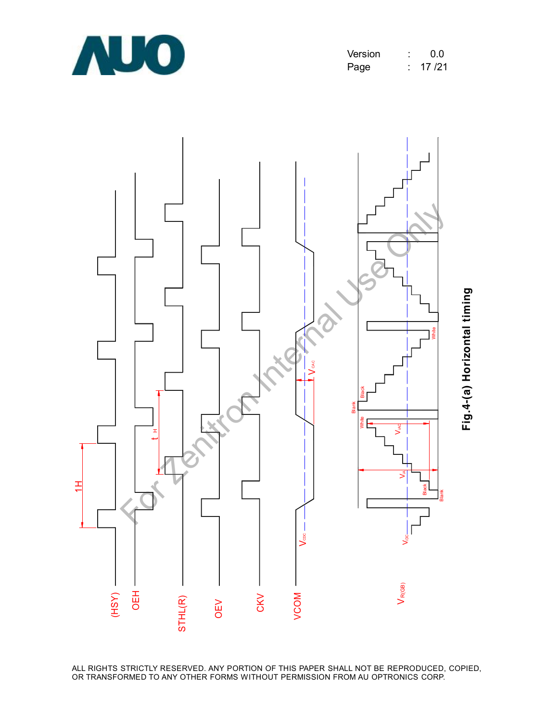

| Version | 0.0   |
|---------|-------|
| Page    | 17/21 |

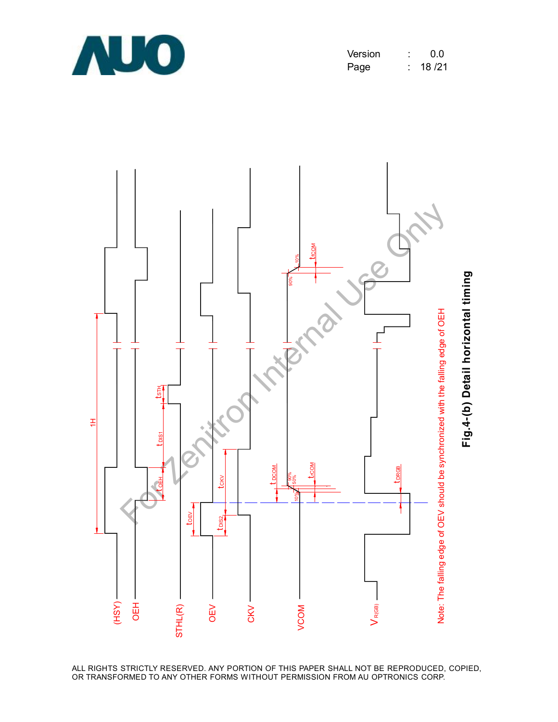

| Version | 0.0    |
|---------|--------|
| Page    | 18 /21 |

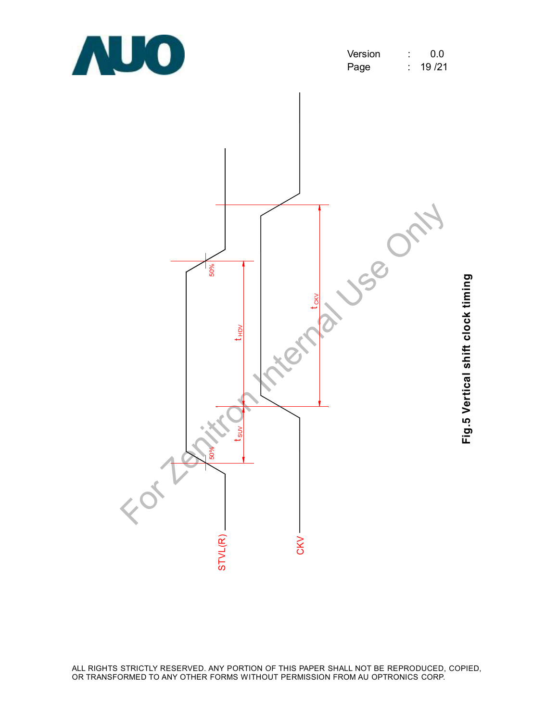

| Version | 0 O    |
|---------|--------|
| Page    | 19 /21 |



**Fig.5 V ertic al s hift clo c k timin g**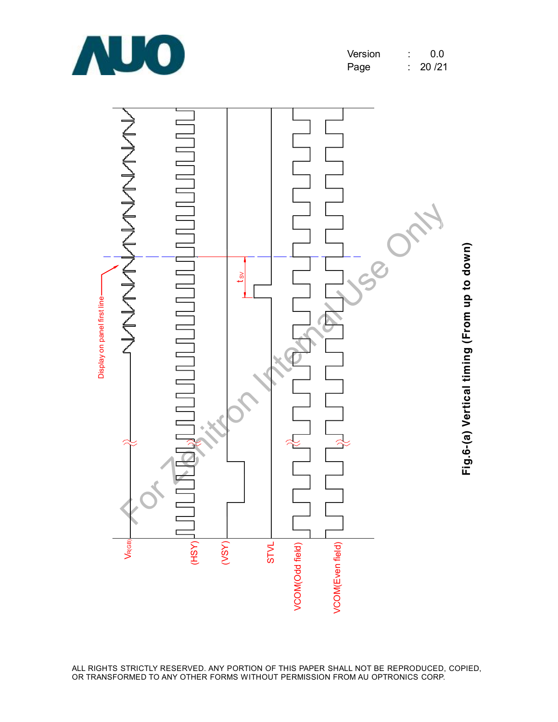

| Version | 0.0   |
|---------|-------|
| Page    | 20/21 |